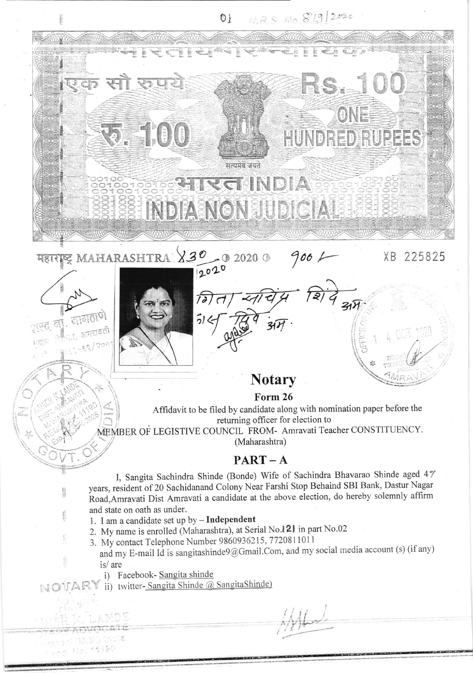

- Road, Amravati Dist Amravati a candidate at the above election, do hereby solemnly affirm and state on oath as under.
	- 1. I am a candidate set up by Independent
	- 2. My name is enrolled (Maharashtra), at Serial No.121 in part No.02
- 3. My contact Telephone Number 9860936215, 7720811011
	- and my E-mail Id is sangitashinde9@Gmail.Com, and my social media account (s) (if any) is/are
		- i) Facebook- Sangita shinde

Ř

est (M.S.) ind  $204.110.1110$ 

NOTARY ii) twitter-Sangita Shinde @ SangitaShinde)